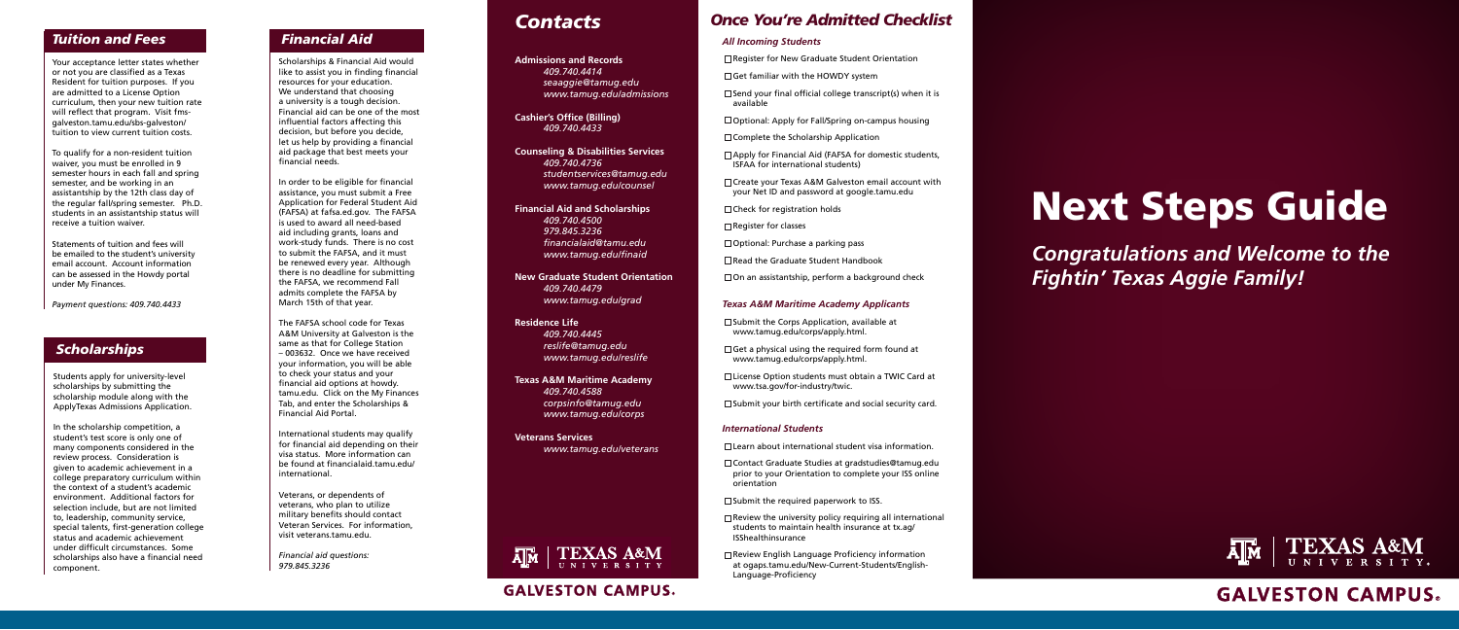*Congratulations and Welcome to the Fightin' Texas Aggie Family!*



# **GALVESTON CAMPUS**



# Next Steps Guide

Scholarships & Financial Aid would like to assist you in finding financial resources for your education. We understand that choosing a university is a tough decision. Financial aid can be one of the most influential factors affecting this decision, but before you decide, let us help by providing a financial aid package that best meets your financial needs.

In order to be eligible for financial assistance, you must submit a Free Application for Federal Student Aid (FAFSA) at fafsa.ed.gov. The FAFSA is used to award all need-based aid including grants, loans and work-study funds. There is no cost to submit the FAFSA, and it must be renewed every year. Although there is no deadline for submitting the FAFSA, we recommend Fall admits complete the FAFSA by March 15th of that year.

The FAFSA school code for Texas A&M University at Galveston is the same as that for College Station – 003632. Once we have received your information, you will be able to check your status and your financial aid options at howdy. tamu.edu. Click on the My Finances Tab, and enter the Scholarships & Financial Aid Portal.

International students may qualify for financial aid depending on their visa status. More information can be found at financialaid.tamu.edu/ international.

Veterans, or dependents of veterans, who plan to utilize military benefits should contact Veteran Services. For information, visit veterans.tamu.edu.

- □ Learn about international student visa information.
- □ Contact Graduate Studies at gradstudies@tamug.edu prior to your Orientation to complete your ISS online orientation
- $\square$  Submit the required paperwork to ISS.
- $\Box$  Review the university policy requiring all international students to maintain health insurance at tx.ag/ ISShealthinsurance
- $\Box$  Review English Language Proficiency information at ogaps.tamu.edu/New-Current-Students/English-Language-Proficiency

*Financial aid questions: 979.845.3236*

# *Once You're Admitted Checklist*

#### *All Incoming Students*

- $\Box$  Register for New Graduate Student Orientation
- $\Box$  Get familiar with the HOWDY system
- $\square$  Send your final official college transcript(s) when it is available
- $\square$  Optional: Apply for Fall/Spring on-campus housing
- $\square$  Complete the Scholarship Application
- □ Apply for Financial Aid (FAFSA for domestic students, ISFAA for international students)
- □ Create your Texas A&M Galveston email account with your Net ID and password at google.tamu.edu
- $\square$  Check for registration holds
- $\Box$  Register for classes
- $\Box$  Optional: Purchase a parking pass
- □ Read the Graduate Student Handbook
- $\square$  On an assistantship, perform a background check

#### *Texas A&M Maritime Academy Applicants*

- $\square$  Submit the Corps Application, available at www.tamug.edu/corps/apply.html.
- $\Box$  Get a physical using the required form found at www.tamug.edu/corps/apply.html.
- □ License Option students must obtain a TWIC Card at www.tsa.gov/for-industry/twic.
- $\square$  Submit your birth certificate and social security card.

#### *International Students*

# *Financial Aid*

Students apply for university-level scholarships by submitting the scholarship module along with the ApplyTexas Admissions Application.

In the scholarship competition, a student's test score is only one of many components considered in the review process. Consideration is given to academic achievement in a college preparatory curriculum within the context of a student's academic environment. Additional factors for selection include, but are not limited to, leadership, community service, special talents, first-generation college status and academic achievement under difficult circumstances. Some scholarships also have a financial need component.

# *Scholarships*

# *Contacts*

#### **Admissions and Records**

*409.740.4414 seaaggie@tamug.edu www.tamug.edu/admissions*

**Cashier's Office (Billing)** *409.740.4433*

#### **Counseling & Disabilities Services** *409.740.4736 studentservices@tamug.edu*

*www.tamug.edu/counsel*

#### **Financial Aid and Scholarships**

*409.740.4500 979.845.3236 financialaid@tamu.edu www.tamug.edu/finaid*

**New Graduate Student Orientation** *409.740.4479 www.tamug.edu/grad*

#### **Residence Life**

*409.740.4445 reslife@tamug.edu www.tamug.edu/reslife*

**Texas A&M Maritime Academy** *409.740.4588 corpsinfo@tamug.edu www.tamug.edu/corps*

**Veterans Services** *www.tamug.edu/veterans*



# **GALVESTON CAMPUS.**

Your acceptance letter states whether or not you are classified as a Texas Resident for tuition purposes. If you are admitted to a License Option curriculum, then your new tuition rate will reflect that program. Visit fmsgalveston.tamu.edu/sbs-galveston/ tuition to view current tuition costs.

To qualify for a non-resident tuition waiver, you must be enrolled in 9 semester hours in each fall and spring semester, and be working in an assistantship by the 12th class day of the regular fall/spring semester. Ph.D. students in an assistantship status will receive a tuition waiver.

Statements of tuition and fees will be emailed to the student's university email account. Account information can be assessed in the Howdy portal under My Finances.

*Payment questions: 409.740.4433* 

# *Tuition and Fees*